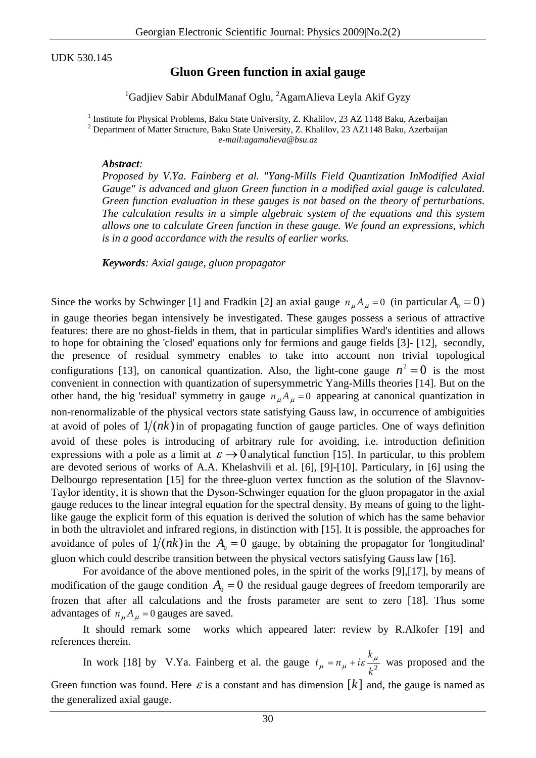UDK 530.145

## **Gluon Green function in axial gauge**

## <sup>1</sup>Gadjiev Sabir AbdulManaf Oglu, <sup>2</sup>AgamAlieva Leyla Akif Gyzy

<sup>1</sup> Institute for Physical Problems, Baku State University, Z. Khalilov, 23 AZ 1148 Baku, Azerbaijan <sup>2</sup> Department of Matter Structure, Baku, State University, Z. Khalilov, 23, AZ 1148 Baku, Azerbaijan <sup>2</sup> Department of Matter Structure, Baku State University, Z. Khalilov, 23 AZ1148 Baku, Azerbaijan *e-mail:agamalieva@bsu.az*

## *Abstract:*

*Proposed by V.Ya. Fainberg et al. "Yang-Mills Field Quantization InModified Axial Gauge" is advanced and gluon Green function in a modified axial gauge is calculated. Green function evaluation in these gauges is not based on the theory of perturbations. The calculation results in a simple algebraic system of the equations and this system allows one to calculate Green function in these gauge. We found an expressions, which is in a good accordance with the results of earlier works.* 

*Keywords: Axial gauge, gluon propagator* 

Since the works by Schwinger [1] and Fradkin [2] an axial gauge  $n_{\mu}A_{\mu} = 0$  (in particular  $A_0 = 0$ ) in gauge theories began intensively be investigated. These gauges possess a serious of attractive features: there are no ghost-fields in them, that in particular simplifies Ward's identities and allows to hope for obtaining the 'closed' equations only for fermions and gauge fields [3]- [12], secondly, the presence of residual symmetry enables to take into account non trivial topological configurations [13], on canonical quantization. Also, the light-cone gauge  $n^2 = 0$  is the most convenient in connection with quantization of supersymmetric Yang-Mills theories [14]. But on the other hand, the big 'residual' symmetry in gauge  $n_{\mu}A_{\mu} = 0$  appearing at canonical quantization in non-renormalizable of the physical vectors state satisfying Gauss law, in occurrence of ambiguities at avoid of poles of  $1/(nk)$  in of propagating function of gauge particles. One of ways definition avoid of these poles is introducing of arbitrary rule for avoiding, i.e. introduction definition expressions with a pole as a limit at  $\varepsilon \rightarrow 0$  analytical function [15]. In particular, to this problem are devoted serious of works of A.A. Khelashvili et al. [6], [9]-[10]. Particulary, in [6] using the Delbourgo representation [15] for the three-gluon vertex function as the solution of the Slavnov-Taylor identity, it is shown that the Dyson-Schwinger equation for the gluon propagator in the axial gauge reduces to the linear integral equation for the spectral density. By means of going to the lightlike gauge the explicit form of this equation is derived the solution of which has the same behavior in both the ultraviolet and infrared regions, in distinction with [15]. It is possible, the approaches for avoidance of poles of  $1/(nk)$  in the  $A_0 = 0$  gauge, by obtaining the propagator for 'longitudinal' gluon which could describe transition between the physical vectors satisfying Gauss law [16].

For avoidance of the above mentioned poles, in the spirit of the works [9],[17], by means of modification of the gauge condition  $A_0 = 0$  the residual gauge degrees of freedom temporarily are frozen that after all calculations and the frosts parameter are sent to zero [18]. Thus some advantages of  $n_{\mu}A_{\mu} = 0$  gauges are saved.

It should remark some works which appeared later: review by R.Alkofer [19] and references therein.

In work [18] by V.Ya. Fainberg et al. the gauge  $t_{\mu} = n_{\mu} + i\varepsilon \frac{k_{\mu}}{k^2}$  was proposed and the Green function was found. Here  $\varepsilon$  is a constant and has dimension  $[k]$  and, the gauge is named as the generalized axial gauge.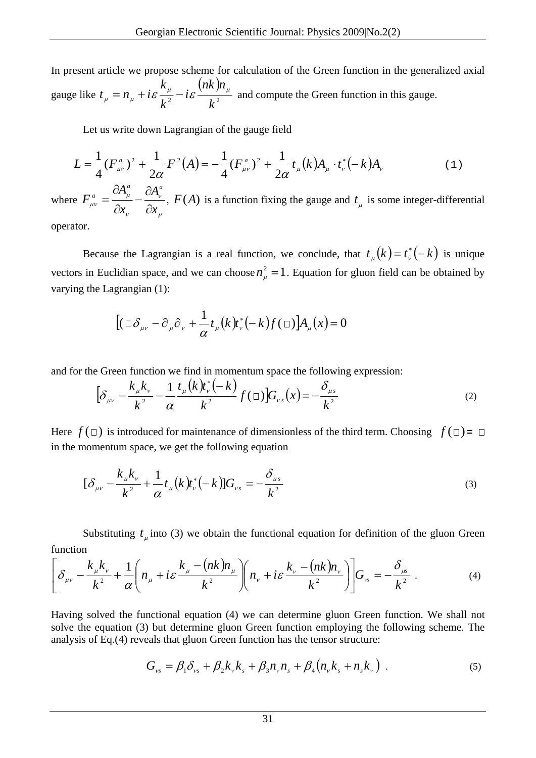In present article we propose scheme for calculation of the Green function in the generalized axial gauge like  $t_{\mu} = n_{\mu} + i \varepsilon \frac{k_{\mu}}{r^2} - i \varepsilon \frac{(nk)}{r^2}$ <sup>2</sup>  $k^2$ *nnk i k k*  $t_{\mu} = n_{\mu} + i \varepsilon \frac{\mu_{\mu}}{I^2} - i \varepsilon \frac{(m \mu_{\mu})^2}{I^2}$  and compute the Green function in this gauge.

Let us write down Lagrangian of the gauge field

$$
L = \frac{1}{4} (F_{\mu\nu}^a)^2 + \frac{1}{2\alpha} F^2(A) = -\frac{1}{4} (F_{\mu\nu}^a)^2 + \frac{1}{2\alpha} t_\mu(k) A_\mu \cdot t_\nu^* (-k) A_\nu
$$
 (1)

where μ ν ν μ <sup>μν</sup> δx<sub>ν</sub> δx *A x A F*  $a \qquad \qquad \Box A \, a$ *a*  $=\frac{\partial A_\mu^a}{\partial x_\nu}-\frac{\partial A_\nu^a}{\partial x_\mu}$ ,  $F(A)$  is a function fixing the gauge and  $t_\mu$  is some integer-differential

operator.

Because the Lagrangian is a real function, we conclude, that  $t_{\mu}(k) = t_{\nu}^*(-k)$  is unique vectors in Euclidian space, and we can choose  $n_{\mu}^2 = 1$ . Equation for gluon field can be obtained by varying the Lagrangian (1):

$$
[(\Box \delta_{\mu\nu} - \partial_{\mu}\partial_{\nu} + \frac{1}{\alpha}t_{\mu}(k)t_{\nu}^*(-k)f(\Box)]A_{\mu}(x) = 0
$$

and for the Green function we find in momentum space the following expression:

$$
\left[\delta_{\mu\nu} - \frac{k_{\mu}k_{\nu}}{k^2} - \frac{1}{\alpha}\frac{t_{\mu}(k)\dot{r}_{\nu}^*(-k)}{k^2}f(\Box)\right]G_{\nu s}(x) = -\frac{\delta_{\mu s}}{k^2} \tag{2}
$$

Here  $f(\Box)$  is introduced for maintenance of dimensionless of the third term. Choosing  $f(\Box) = \Box$ in the momentum space, we get the following equation

$$
[\delta_{\mu\nu} - \frac{k_{\mu}k_{\nu}}{k^2} + \frac{1}{\alpha}t_{\mu}(k)t_{\nu}^*(-k)]G_{\nu s} = -\frac{\delta_{\mu s}}{k^2}
$$
(3)

Substituting  $t_{\mu}$  into (3) we obtain the functional equation for definition of the gluon Green function

$$
\left[\delta_{\mu\nu} - \frac{k_{\mu}k_{\nu}}{k^2} + \frac{1}{\alpha}\left(n_{\mu} + i\varepsilon\frac{k_{\mu} - (nk)n_{\mu}}{k^2}\right)\left(n_{\nu} + i\varepsilon\frac{k_{\nu} - (nk)n_{\nu}}{k^2}\right)\right]G_{\nu s} = -\frac{\delta_{\mu s}}{k^2}.
$$
 (4)

Having solved the functional equation (4) we can determine gluon Green function. We shall not solve the equation (3) but determine gluon Green function employing the following scheme. The analysis of Eq.(4) reveals that gluon Green function has the tensor structure:

$$
G_{\nu s} = \beta_1 \delta_{\nu s} + \beta_2 k_{\nu} k_s + \beta_3 n_{\nu} n_s + \beta_4 (n_{\nu} k_s + n_s k_{\nu})
$$
 (5)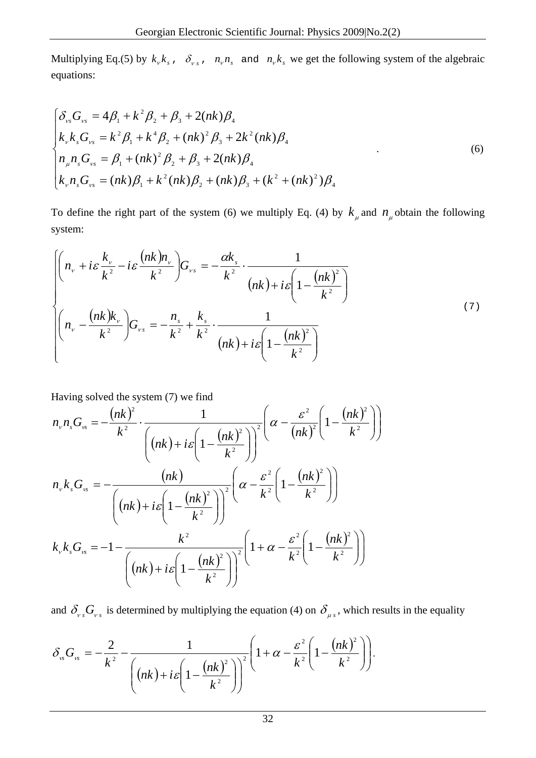Multiplying Eq.(5) by  $k_{v}k_{s}$ ,  $\delta_{v s}$ ,  $n_{v}n_{s}$  and  $n_{v}k_{s}$  we get the following system of the algebraic equations:

$$
\begin{cases}\n\delta_{vs} G_{vs} = 4\beta_1 + k^2 \beta_2 + \beta_3 + 2(nk)\beta_4 \\
k_v k_s G_{vs} = k^2 \beta_1 + k^4 \beta_2 + (nk)^2 \beta_3 + 2k^2 (nk) \beta_4 \\
n_u n_s G_{vs} = \beta_1 + (nk)^2 \beta_2 + \beta_3 + 2(nk) \beta_4 \\
k_v n_s G_{vs} = (nk)\beta_1 + k^2 (nk)\beta_2 + (nk)\beta_3 + (k^2 + (nk)^2) \beta_4\n\end{cases}
$$
\n(6)

To define the right part of the system (6) we multiply Eq. (4) by  $k_{\mu}$  and  $n_{\mu}$  obtain the following system:

$$
\left\{\n\begin{pmatrix}\nn_{\nu} + i\varepsilon \frac{k_{\nu}}{k^2} - i\varepsilon \frac{(nk)n_{\nu}}{k^2} \bigg) G_{\nu s} = -\frac{\alpha k_s}{k^2} \cdot \frac{1}{(nk) + i\varepsilon \left(1 - \frac{(nk)^2}{k^2}\right)} \\
n_{\nu} - \frac{(nk)k_{\nu}}{k^2} \bigg) G_{\nu s} = -\frac{n_s}{k^2} + \frac{k_s}{k^2} \cdot \frac{1}{(nk) + i\varepsilon \left(1 - \frac{(nk)^2}{k^2}\right)}\n\end{pmatrix}\n\right\}
$$
\n(7)

Having solved the system (7) we find

$$
n_{v}n_{s}G_{v_{s}} = -\frac{(nk)^{2}}{k^{2}} \cdot \frac{1}{\left( (nk) + i\varepsilon \left( 1 - \frac{(nk)^{2}}{k^{2}} \right) \right)^{2}} \left( \alpha - \frac{\varepsilon^{2}}{(nk)^{2}} \left( 1 - \frac{(nk)^{2}}{k^{2}} \right) \right)
$$
  
\n
$$
n_{v}k_{s}G_{v_{s}} = -\frac{(nk)}{\left( (nk) + i\varepsilon \left( 1 - \frac{(nk)^{2}}{k^{2}} \right) \right)^{2}} \left( \alpha - \frac{\varepsilon^{2}}{k^{2}} \left( 1 - \frac{(nk)^{2}}{k^{2}} \right) \right)
$$
  
\n
$$
k_{v}k_{s}G_{v_{s}} = -1 - \frac{k^{2}}{\left( (nk) + i\varepsilon \left( 1 - \frac{(nk)^{2}}{k^{2}} \right) \right)^{2}} \left( 1 + \alpha - \frac{\varepsilon^{2}}{k^{2}} \left( 1 - \frac{(nk)^{2}}{k^{2}} \right) \right)
$$

and  $\delta_{\nu s} G_{\nu s}$  is determined by multiplying the equation (4) on  $\delta_{\mu s}$ , which results in the equality

$$
\delta_{\nu s} G_{\nu s} = -\frac{2}{k^2} - \frac{1}{\left( (nk) + i\varepsilon \left( 1 - \frac{(nk)^2}{k^2} \right) \right)^2} \left( 1 + \alpha - \frac{\varepsilon^2}{k^2} \left( 1 - \frac{(nk)^2}{k^2} \right) \right).
$$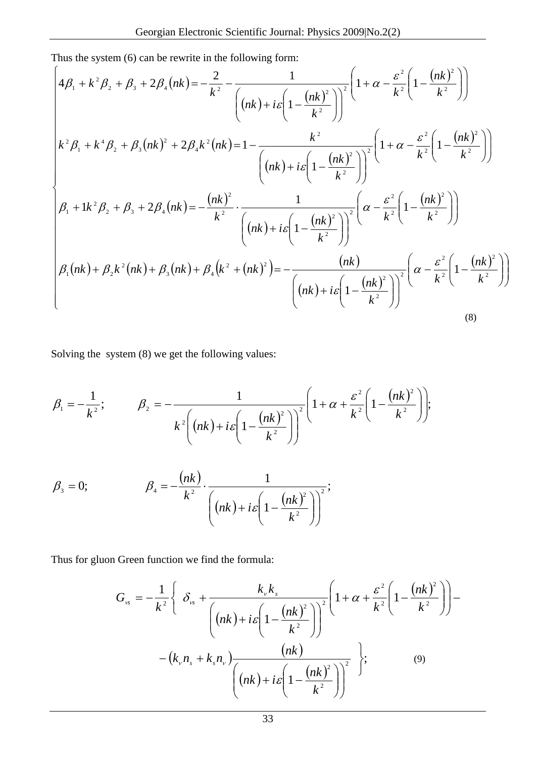Thus the system (6) can be rewrite in the following form:

$$
\begin{cases}\n4\beta_{1} + k^{2}\beta_{2} + \beta_{3} + 2\beta_{4}(nk) = -\frac{2}{k^{2}} - \frac{1}{\left( (nk) + i\varepsilon \left( 1 - \frac{(nk)^{2}}{k^{2}} \right) \right)^{2}} \left( 1 + \alpha - \frac{\varepsilon^{2}}{k^{2}} \left( 1 - \frac{(nk)^{2}}{k^{2}} \right) \right) \\
k^{2}\beta_{1} + k^{4}\beta_{2} + \beta_{3}(nk)^{2} + 2\beta_{4}k^{2}(nk) = 1 - \frac{k^{2}}{\left( (nk) + i\varepsilon \left( 1 - \frac{(nk)^{2}}{k^{2}} \right) \right)^{2}} \left( 1 + \alpha - \frac{\varepsilon^{2}}{k^{2}} \left( 1 - \frac{(nk)^{2}}{k^{2}} \right) \right) \\
\beta_{1} + 1k^{2}\beta_{2} + \beta_{3} + 2\beta_{4}(nk) = -\frac{(nk)^{2}}{k^{2}} \cdot \frac{1}{\left( (nk) + i\varepsilon \left( 1 - \frac{(nk)^{2}}{k^{2}} \right) \right)^{2}} \left( \alpha - \frac{\varepsilon^{2}}{k^{2}} \left( 1 - \frac{(nk)^{2}}{k^{2}} \right) \right) \\
\beta_{1}(nk) + \beta_{2}k^{2}(nk) + \beta_{3}(nk) + \beta_{4}(k^{2} + (nk)^{2}) = -\frac{(nk)}{\left( (nk) + i\varepsilon \left( 1 - \frac{(nk)^{2}}{k^{2}} \right) \right)^{2}} \left( \alpha - \frac{\varepsilon^{2}}{k^{2}} \left( 1 - \frac{(nk)^{2}}{k^{2}} \right) \right)\n\end{cases}
$$
\n(8)

Solving the system (8) we get the following values:

$$
\beta_1 = -\frac{1}{k^2}; \qquad \beta_2 = -\frac{1}{k^2 \left( (nk) + i\varepsilon \left( 1 - \frac{(nk)^2}{k^2} \right) \right)^2} \left( 1 + \alpha + \frac{\varepsilon^2}{k^2} \left( 1 - \frac{(nk)^2}{k^2} \right) \right);
$$

$$
\beta_3 = 0; \qquad \beta_4 = -\frac{(nk)}{k^2} \cdot \frac{1}{\left( (nk) + i\varepsilon \left( 1 - \frac{(nk)^2}{k^2} \right) \right)^2};
$$

Thus for gluon Green function we find the formula:

$$
G_{\nu s} = -\frac{1}{k^2} \left\{ \delta_{\nu s} + \frac{k_{\nu}k_{s}}{\left( (nk) + i\varepsilon \left( 1 - \frac{(nk)^2}{k^2} \right) \right)^2} \left( 1 + \alpha + \frac{\varepsilon^2}{k^2} \left( 1 - \frac{(nk)^2}{k^2} \right) \right) - (k_{\nu}n_{s} + k_{s}n_{\nu}) \frac{(nk)}{\left( (nk) + i\varepsilon \left( 1 - \frac{(nk)^2}{k^2} \right) \right)^2} \right\};
$$
\n(9)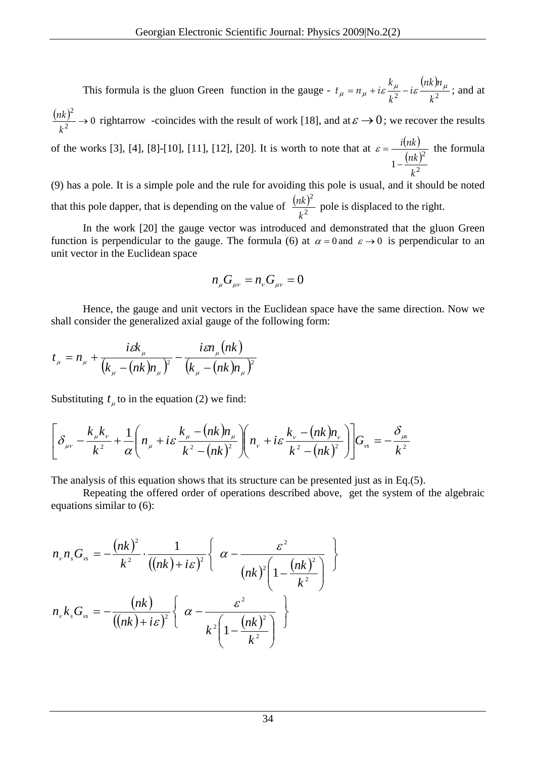This formula is the gluon Green function in the gauge -  $t_u = n_u + i\varepsilon \frac{k_\mu}{r^2} - i\varepsilon \frac{(nk)}{r^2}$ 2  $k^2$ *nnk i k*  $t_{\mu} = n_{\mu} + i\varepsilon \frac{k_{\mu}}{l^2} - i\varepsilon \frac{(nk)n_{\mu}}{l^2}$ ; and at  $\frac{(nk)^2}{k^2} \rightarrow 0$  $\rightarrow$ *k*  $\frac{n(k)^2}{k^2}$   $\rightarrow$  0 rightarrow -coincides with the result of work [18], and at  $\varepsilon \rightarrow 0$ ; we recover the results of the works [3], [4], [8]-[10], [11], [12], [20]. It is worth to note that at  $\varepsilon = \frac{i(nk)}{2}$  $(nk)$ 2 2  $1-\frac{(nk)}{k}$ *k nki* −  $\varepsilon = \frac{t(hk)}{2}$  the formula

(9) has a pole. It is a simple pole and the rule for avoiding this pole is usual, and it should be noted that this pole dapper, that is depending on the value of  $\frac{(nk)}{k^2}$ 2 *k*  $\frac{nk^2}{2}$  pole is displaced to the right.

In the work [20] the gauge vector was introduced and demonstrated that the gluon Green function is perpendicular to the gauge. The formula (6) at  $\alpha = 0$  and  $\varepsilon \to 0$  is perpendicular to an unit vector in the Euclidean space

$$
n_{\mu}G_{\mu\nu}=n_{\nu}G_{\mu\nu}=0
$$

Hence, the gauge and unit vectors in the Euclidean space have the same direction. Now we shall consider the generalized axial gauge of the following form:

$$
t_{\mu} = n_{\mu} + \frac{i\epsilon k_{\mu}}{(k_{\mu} - (nk)n_{\mu})^2} - \frac{i\epsilon n_{\mu}(nk)}{(k_{\mu} - (nk)n_{\mu})^2}
$$

Substituting  $t_{\mu}$  to in the equation (2) we find:

$$
\left[\delta_{\mu\nu} - \frac{k_{\mu}k_{\nu}}{k^2} + \frac{1}{\alpha}\left(n_{\mu} + i\varepsilon\frac{k_{\mu} - (nk)n_{\mu}}{k^2 - (nk)^2}\right)\left(n_{\nu} + i\varepsilon\frac{k_{\nu} - (nk)n_{\nu}}{k^2 - (nk)^2}\right)\right]G_{\nu s} = -\frac{\delta_{\mu s}}{k^2}
$$

The analysis of this equation shows that its structure can be presented just as in Eq.(5).

Repeating the offered order of operations described above, get the system of the algebraic equations similar to (6):

$$
n_{v}n_{s}G_{v} = -\frac{(nk)^{2}}{k^{2}} \cdot \frac{1}{((nk) + i\varepsilon)^{2}} \left\{\alpha - \frac{\varepsilon^{2}}{(nk)^{2}\left(1 - \frac{(nk)^{2}}{k^{2}}\right)}\right\}
$$

$$
n_{v}k_{s}G_{v} = -\frac{(nk)}{((nk) + i\varepsilon)^{2}} \left\{\alpha - \frac{\varepsilon^{2}}{k^{2}\left(1 - \frac{(nk)^{2}}{k^{2}}\right)}\right\}
$$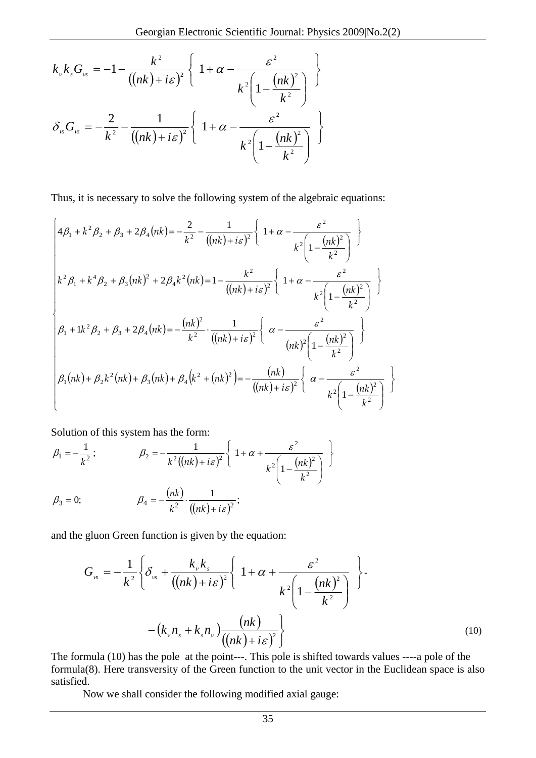$$
k_{v}k_{s}G_{v} = -1 - \frac{k^{2}}{((nk) + i\varepsilon)^{2}} \left\{ 1 + \alpha - \frac{\varepsilon^{2}}{k^{2}\left(1 - \frac{(nk)^{2}}{k^{2}}\right)} \right\}
$$

$$
\delta_{v}G_{v} = -\frac{2}{k^{2}} - \frac{1}{((nk) + i\varepsilon)^{2}} \left\{ 1 + \alpha - \frac{\varepsilon^{2}}{k^{2}\left(1 - \frac{(nk)^{2}}{k^{2}}\right)} \right\}
$$

Thus, it is necessary to solve the following system of the algebraic equations:

$$
\begin{cases}\n4\beta_{1} + k^{2}\beta_{2} + \beta_{3} + 2\beta_{4}(nk) = -\frac{2}{k^{2}} - \frac{1}{((nk) + i\varepsilon)^{2}} \left\{ 1 + \alpha - \frac{\varepsilon^{2}}{k^{2} \left( 1 - \frac{(nk)^{2}}{k^{2}} \right)} \right\} \\
k^{2}\beta_{1} + k^{4}\beta_{2} + \beta_{3}(nk)^{2} + 2\beta_{4}k^{2}(nk) = 1 - \frac{k^{2}}{((nk) + i\varepsilon)^{2}} \left\{ 1 + \alpha - \frac{\varepsilon^{2}}{k^{2} \left( 1 - \frac{(nk)^{2}}{k^{2}} \right)} \right\} \\
\beta_{1} + 1k^{2}\beta_{2} + \beta_{3} + 2\beta_{4}(nk) = -\frac{(nk)^{2}}{k^{2}} \cdot \frac{1}{((nk) + i\varepsilon)^{2}} \left\{ \alpha - \frac{\varepsilon^{2}}{(nk)^{2} \left( 1 - \frac{(nk)^{2}}{k^{2}} \right)} \right\} \\
\beta_{1}(nk) + \beta_{2}k^{2}(nk) + \beta_{3}(nk) + \beta_{4}(k^{2} + (nk)^{2}) = -\frac{(nk)}{((nk) + i\varepsilon)^{2}} \left\{ \alpha - \frac{\varepsilon^{2}}{k^{2} \left( 1 - \frac{(nk)^{2}}{k^{2}} \right)} \right\}\n\end{cases}
$$

Solution of this system has the form:

$$
\beta_1 = -\frac{1}{k^2}; \qquad \beta_2 = -\frac{1}{k^2((nk) + i\varepsilon)^2} \left\{ 1 + \alpha + \frac{\varepsilon^2}{k^2 \left(1 - \frac{(nk)^2}{k^2}\right)} \right\}
$$
  

$$
\beta_3 = 0; \qquad \beta_4 = -\frac{(nk)}{k^2} \cdot \frac{1}{((nk) + i\varepsilon)^2};
$$

and the gluon Green function is given by the equation:

$$
G_{\nu s} = -\frac{1}{k^2} \left\{ \delta_{\nu s} + \frac{k_{\nu} k_s}{\left( (nk) + i\varepsilon \right)^2} \left\{ 1 + \alpha + \frac{\varepsilon^2}{k^2 \left( 1 - \frac{(nk)^2}{k^2} \right)} \right\} - (k_{\nu} n_s + k_s n_{\nu}) \frac{(nk)}{\left( (nk) + i\varepsilon \right)^2} \right\}
$$
(10)

The formula (10) has the pole at the point---. This pole is shifted towards values ----a pole of the formula(8). Here transversity of the Green function to the unit vector in the Euclidean space is also satisfied.

Now we shall consider the following modified axial gauge: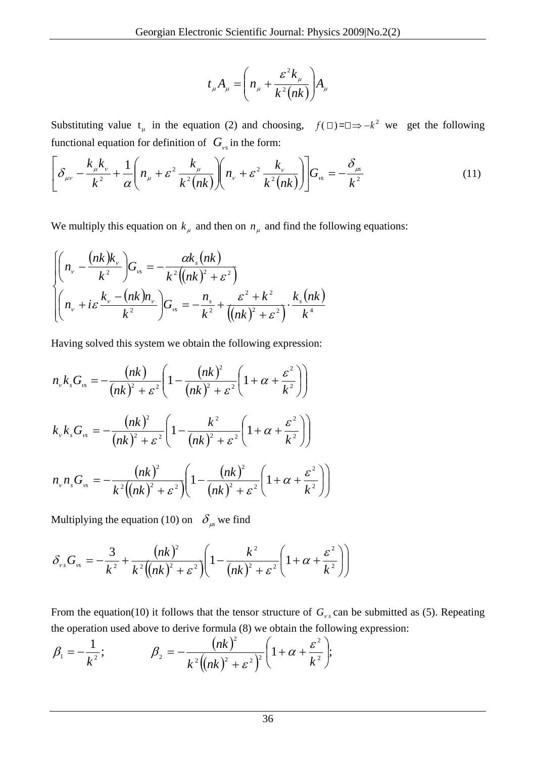$$
t_{\mu}A_{\mu} = \left(n_{\mu} + \frac{\varepsilon^2 k_{\mu}}{k^2 (nk)}\right)A_{\mu}
$$

Substituting value  $t_{\mu}$  in the equation (2) and choosing,  $f(\Box) = \Box \Rightarrow -k^2$  we get the following functional equation for definition of  $G_{\nu s}$  in the form:

$$
\left[\delta_{\mu\nu} - \frac{k_{\mu}k_{\nu}}{k^2} + \frac{1}{\alpha}\left(n_{\mu} + \varepsilon^2 \frac{k_{\mu}}{k^2(nk)}\right)\left(n_{\nu} + \varepsilon^2 \frac{k_{\nu}}{k^2(nk)}\right)\right]G_{\nu s} = -\frac{\delta_{\mu s}}{k^2} \tag{11}
$$

We multiply this equation on  $k_{\mu}$  and then on  $n_{\mu}$  and find the following equations:

$$
\begin{cases}\n\left(n_v - \frac{(nk)k_v}{k^2}\right)G_{vs} = -\frac{\alpha k_s(nk)}{k^2((nk)^2 + \varepsilon^2)} \\
\left(n_v + i\varepsilon\frac{k_v - (nk)n_v}{k^2}\right)G_{vs} = -\frac{n_s}{k^2} + \frac{\varepsilon^2 + k^2}{((nk)^2 + \varepsilon^2)}\cdot\frac{k_s(nk)}{k^4}\n\end{cases}
$$

Having solved this system we obtain the following expression:

$$
n_{v}k_{s}G_{v_{s}} = -\frac{(nk)}{(nk)^{2} + \varepsilon^{2}} \left(1 - \frac{(nk)^{2}}{(nk)^{2} + \varepsilon^{2}} \left(1 + \alpha + \frac{\varepsilon^{2}}{k^{2}}\right)\right)
$$
  
\n
$$
k_{v}k_{s}G_{v_{s}} = -\frac{(nk)^{2}}{(nk)^{2} + \varepsilon^{2}} \left(1 - \frac{k^{2}}{(nk)^{2} + \varepsilon^{2}} \left(1 + \alpha + \frac{\varepsilon^{2}}{k^{2}}\right)\right)
$$
  
\n
$$
n_{v}n_{s}G_{v_{s}} = -\frac{(nk)^{2}}{k^{2}((nk)^{2} + \varepsilon^{2})} \left(1 - \frac{(nk)^{2}}{(nk)^{2} + \varepsilon^{2}} \left(1 + \alpha + \frac{\varepsilon^{2}}{k^{2}}\right)\right)
$$

Multiplying the equation (10) on  $\delta_{\mu}$  we find

$$
\delta_{\nu s} G_{\nu s} = -\frac{3}{k^2} + \frac{(nk)^2}{k^2((nk)^2 + \varepsilon^2)} \left(1 - \frac{k^2}{(nk)^2 + \varepsilon^2} \left(1 + \alpha + \frac{\varepsilon^2}{k^2}\right)\right)
$$

From the equation(10) it follows that the tensor structure of  $G_{\nu s}$  can be submitted as (5). Repeating the operation used above to derive formula (8) we obtain the following expression:

$$
\beta_1 = -\frac{1}{k^2};
$$
\n $\beta_2 = -\frac{(nk)^2}{k^2((nk)^2 + \varepsilon^2)^2} \left(1 + \alpha + \frac{\varepsilon^2}{k^2}\right);$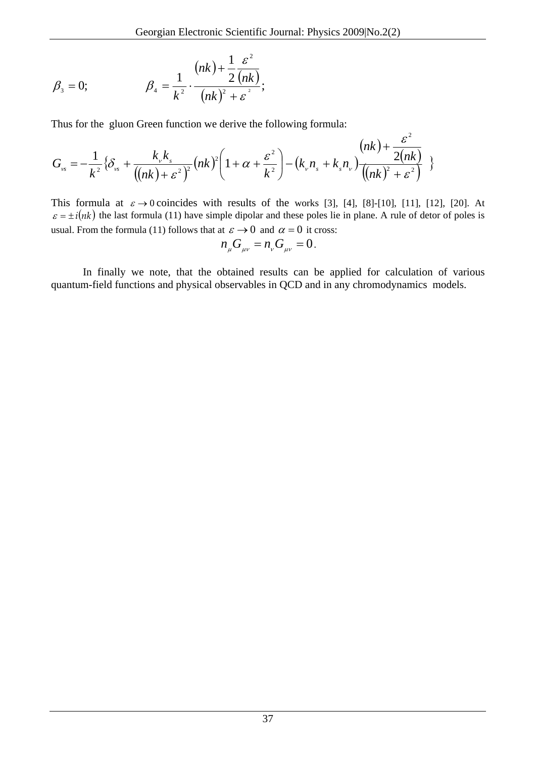$$
\beta_3 = 0;
$$
\n
$$
\beta_4 = \frac{1}{k^2} \cdot \frac{(nk) + \frac{1}{2} \frac{\varepsilon^2}{(nk)}}{(nk)^2 + \varepsilon^2};
$$

Thus for the gluon Green function we derive the following formula:

$$
G_{\scriptscriptstyle{vs}} = -\frac{1}{k^2} \{ \delta_{\scriptscriptstyle{vs}} + \frac{k_{\scriptscriptstyle{v}} k_{\scriptscriptstyle{s}}}{\left( (nk) + \varepsilon^2 \right)^2} (nk)^2 \left( 1 + \alpha + \frac{\varepsilon^2}{k^2} \right) - \left( k_{\scriptscriptstyle{v}} n_{\scriptscriptstyle{s}} + k_{\scriptscriptstyle{s}} n_{\scriptscriptstyle{v}} \right) \frac{(nk) + \frac{\varepsilon^2}{2(nk)}}{\left( (nk)^2 + \varepsilon^2 \right)} \}
$$

This formula at  $\varepsilon \to 0$  coincides with results of the works [3], [4], [8]-[10], [11], [12], [20]. At  $\varepsilon = \pm i(nk)$  the last formula (11) have simple dipolar and these poles lie in plane. A rule of detor of poles is usual. From the formula (11) follows that at  $\varepsilon \to 0$  and  $\alpha = 0$  it cross:

$$
n_{\mu}G_{\mu\nu}=n_{\nu}G_{\mu\nu}=0.
$$

In finally we note, that the obtained results can be applied for calculation of various quantum-field functions and physical observables in QCD and in any chromodynamics models.